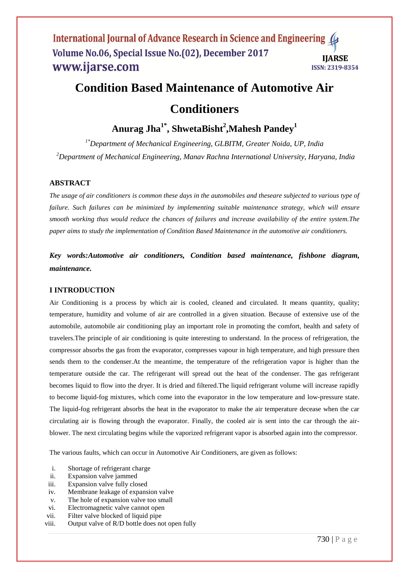# **Condition Based Maintenance of Automotive Air**

## **Conditioners**

### **Anurag Jha1\* , ShwetaBisht<sup>2</sup> ,Mahesh Pandey<sup>1</sup>**

*1\*Department of Mechanical Engineering, GLBITM, Greater Noida, UP, India <sup>2</sup>Department of Mechanical Engineering, Manav Rachna International University, Haryana, India*

### **ABSTRACT**

*The usage of air conditioners is common these days in the automobiles and theseare subjected to various type of failure. Such failures can be minimized by implementing suitable maintenance strategy, which will ensure smooth working thus would reduce the chances of failures and increase availability of the entire system.The paper aims to study the implementation of Condition Based Maintenance in the automotive air conditioners.* 

*Key words:Automotive air conditioners, Condition based maintenance, fishbone diagram, maintenance.*

#### **I INTRODUCTION**

Air Conditioning is a process by which air is cooled, cleaned and circulated. It means quantity, quality; temperature, humidity and volume of air are controlled in a given situation. Because of extensive use of the automobile, automobile air conditioning play an important role in promoting the comfort, health and safety of travelers.The principle of air conditioning is quite interesting to understand. In the process of refrigeration, the compressor absorbs the gas from the evaporator, compresses vapour in high temperature, and high pressure then sends them to the condenser.At the meantime, the temperature of the refrigeration vapor is higher than the temperature outside the car. The refrigerant will spread out the heat of the condenser. The gas refrigerant becomes liquid to flow into the dryer. It is dried and filtered.The liquid refrigerant volume will increase rapidly to become liquid-fog mixtures, which come into the evaporator in the low temperature and low-pressure state. The liquid-fog refrigerant absorbs the heat in the evaporator to make the air temperature decease when the car circulating air is flowing through the evaporator. Finally, the cooled air is sent into the car through the airblower. The next circulating begins while the vaporized refrigerant vapor is absorbed again into the compressor.

The various faults, which can occur in Automotive Air Conditioners, are given as follows:

- i. Shortage of refrigerant charge
- ii. Expansion valve jammed
- iii. Expansion valve fully closed
- iv. Membrane leakage of expansion valve
- v. The hole of expansion valve too small
- vi. Electromagnetic valve cannot open
- vii. Filter valve blocked of liquid pipe
- viii. Output valve of R/D bottle does not open fully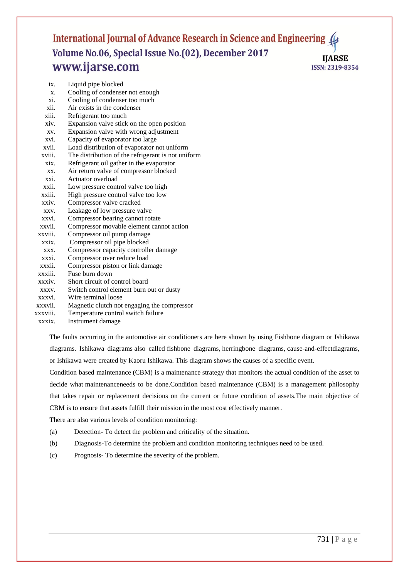| ix.                  | Liquid pipe blocked                                |
|----------------------|----------------------------------------------------|
| $X$ .                | Cooling of condenser not enough                    |
| xi.                  | Cooling of condenser too much                      |
| xii.                 | Air exists in the condenser                        |
| xiii.                | Refrigerant too much                               |
| xiv.                 | Expansion valve stick on the open position         |
| XV.                  | Expansion valve with wrong adjustment              |
| xvi.                 | Capacity of evaporator too large                   |
| xvii.                | Load distribution of evaporator not uniform        |
| xviii.               | The distribution of the refrigerant is not uniform |
| $\overline{x}$ ix.   | Refrigerant oil gather in the evaporator           |
| XX.                  | Air return valve of compressor blocked             |
| xxi.                 | Actuator overload                                  |
| xxii.                | Low pressure control valve too high                |
| xxiii.               | High pressure control valve too low                |
| $\overline{x}$ x iv. | Compressor valve cracked                           |
| XXV.                 | Leakage of low pressure valve                      |
| xxvi.                | Compressor bearing cannot rotate                   |
| xxvii.               | Compressor movable element cannot action           |
| xxviii.              | Compressor oil pump damage                         |
| xxix.                | Compressor oil pipe blocked                        |
| XXX.                 | Compressor capacity controller damage              |
| xxxi.                | Compressor over reduce load                        |
| xxxii.               | Compressor piston or link damage                   |
| xxxiii.              | Fuse burn down                                     |
| $xxxiv$ .            | Short circuit of control board                     |
| XXXV.                | Switch control element burn out or dusty           |
| xxxvi.               | Wire terminal loose                                |
| xxxvii.              | Magnetic clutch not engaging the compressor        |
| xxxviii.             | Temperature control switch failure                 |

xxxix. Instrument damage

The faults occurring in the automotive air conditioners are here shown by using Fishbone diagram or Ishikawa diagrams. Ishikawa diagrams also called fishbone diagrams, herringbone diagrams, cause-and-effectdiagrams, or Ishikawa were created by Kaoru Ishikawa. This diagram shows the causes of a specific event.

Condition based maintenance (CBM) is a maintenance strategy that monitors the actual condition of the asset to decide what maintenanceneeds to be done.Condition based maintenance (CBM) is a management philosophy that takes repair or replacement decisions on the current or future condition of assets.The main objective of CBM is to ensure that assets fulfill their mission in the most cost effectively manner.

There are also various levels of condition monitoring:

- (a) Detection- To detect the problem and criticality of the situation.
- (b) Diagnosis-To determine the problem and condition monitoring techniques need to be used.
- (c) Prognosis- To determine the severity of the problem.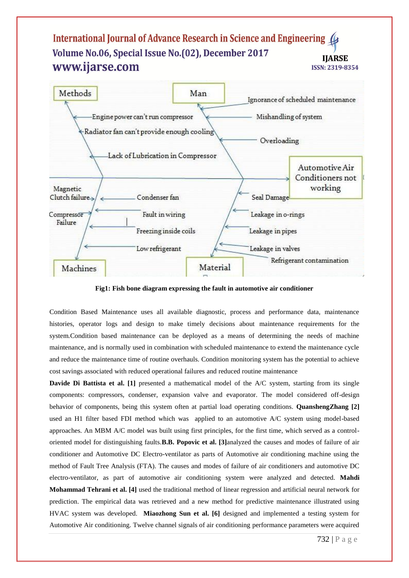

**Fig1: Fish bone diagram expressing the fault in automotive air conditioner**

Condition Based Maintenance uses all available diagnostic, process and performance data, maintenance histories, operator logs and design to make timely decisions about maintenance requirements for the system.Condition based maintenance can be deployed as a means of determining the needs of machine maintenance, and is normally used in combination with scheduled maintenance to extend the maintenance cycle and reduce the maintenance time of routine overhauls. Condition monitoring system has the potential to achieve cost savings associated with reduced operational failures and reduced routine maintenance

**Davide Di Battista et al. [1]** presented a mathematical model of the A/C system, starting from its single components: compressors, condenser, expansion valve and evaporator. The model considered off-design behavior of components, being this system often at partial load operating conditions. **QuanshengZhang [2]** used an H1 filter based FDI method which was applied to an automotive A/C system using model-based approaches. An MBM A/C model was built using first principles, for the first time, which served as a controloriented model for distinguishing faults.**B.B. Popovic et al. [3]**analyzed the causes and modes of failure of air conditioner and Automotive DC Electro-ventilator as parts of Automotive air conditioning machine using the method of Fault Tree Analysis (FTA). The causes and modes of failure of air conditioners and automotive DC electro-ventilator, as part of automotive air conditioning system were analyzed and detected. **Mahdi Mohammad Tehrani et al. [4]** used the traditional method of linear regression and artificial neural network for prediction. The empirical data was retrieved and a new method for predictive maintenance illustrated using HVAC system was developed. **Miaozhong Sun et al. [6]** designed and implemented a testing system for Automotive Air conditioning. Twelve channel signals of air conditioning performance parameters were acquired

732 | P a g e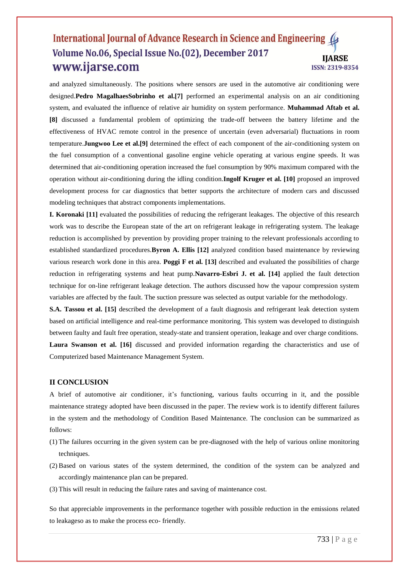and analyzed simultaneously. The positions where sensors are used in the automotive air conditioning were designed.**Pedro MagalhaesSobrinho et al.[7]** performed an experimental analysis on an air conditioning system, and evaluated the influence of relative air humidity on system performance. **Muhammad Aftab et al. [8]** discussed a fundamental problem of optimizing the trade-off between the battery lifetime and the effectiveness of HVAC remote control in the presence of uncertain (even adversarial) fluctuations in room temperature.**Jungwoo Lee et al.[9]** determined the effect of each component of the air-conditioning system on the fuel consumption of a conventional gasoline engine vehicle operating at various engine speeds. It was determined that air-conditioning operation increased the fuel consumption by 90% maximum compared with the operation without air-conditioning during the idling condition.**Ingolf Kruger et al. [10]** proposed an improved development process for car diagnostics that better supports the architecture of modern cars and discussed modeling techniques that abstract components implementations.

**I. Koronaki [11]** evaluated the possibilities of reducing the refrigerant leakages. The objective of this research work was to describe the European state of the art on refrigerant leakage in refrigerating system. The leakage reduction is accomplished by prevention by providing proper training to the relevant professionals according to established standardized procedures.**Byron A. Ellis [12]** analyzed condition based maintenance by reviewing various research work done in this area. **Poggi F et al. [13]** described and evaluated the possibilities of charge reduction in refrigerating systems and heat pump.**Navarro-Esbri J. et al. [14]** applied the fault detection technique for on-line refrigerant leakage detection. The authors discussed how the vapour compression system variables are affected by the fault. The suction pressure was selected as output variable for the methodology.

**S.A. Tassou et al. [15]** described the development of a fault diagnosis and refrigerant leak detection system based on artificial intelligence and real-time performance monitoring. This system was developed to distinguish between faulty and fault free operation, steady-state and transient operation, leakage and over charge conditions. **Laura Swanson et al. [16]** discussed and provided information regarding the characteristics and use of Computerized based Maintenance Management System.

#### **II CONCLUSION**

A brief of automotive air conditioner, it's functioning, various faults occurring in it, and the possible maintenance strategy adopted have been discussed in the paper. The review work is to identify different failures in the system and the methodology of Condition Based Maintenance. The conclusion can be summarized as follows:

- (1) The failures occurring in the given system can be pre-diagnosed with the help of various online monitoring techniques.
- (2) Based on various states of the system determined, the condition of the system can be analyzed and accordingly maintenance plan can be prepared.
- (3) This will result in reducing the failure rates and saving of maintenance cost.

So that appreciable improvements in the performance together with possible reduction in the emissions related to leakageso as to make the process eco- friendly.